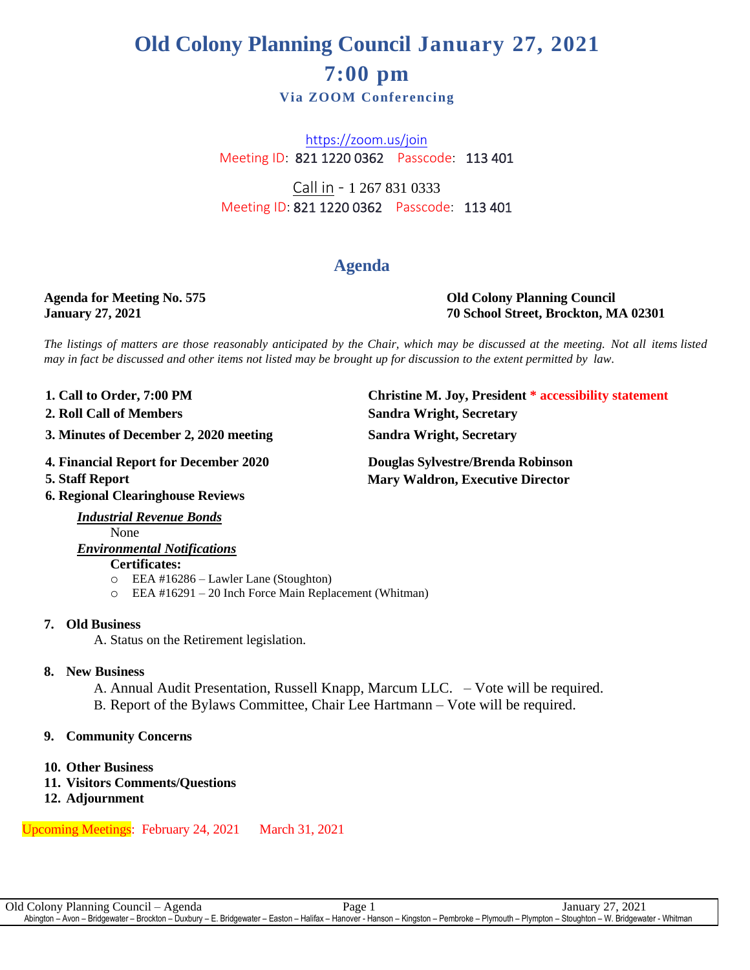# **Old Colony Planning Council January 27, 2021 7:00 pm**

**Via ZOOM Conferencing** 

<https://zoom.us/join> Meeting ID: 821 1220 0362 Passcode: 113 401

Call in - 1 267 831 0333 Meeting ID: 821 1220 0362 Passcode: 113 401

## **Agenda**

#### **Agenda for Meeting No. 575 Old Colony Planning Council January 27, 2021 70 School Street, Brockton, MA 02301**

**1. Christine M. Joy, President \* accessibility statement** 

The listings of matters are those reasonably anticipated by the Chair, which may be discussed at the meeting. Not all items listed may in fact be discussed and other items not listed may be brought up for discussion to the extent permitted by law.

**2. Roll Call of Members Sandra Wright, Secretary**

**Mary Waldron, Executive Director** 

- 1. Call to Order, 7:00 PM
- **. 2**
- **. 3 3. Minutes of December 2, 2020 meeting Sandra Wright, Secretary**
- **4 4. Financial Report for December 2020 Douglas Sylvestre/Brenda Robinson**
- **.**

**6. Regional Clearinghouse Reviews**

*Industrial Revenue Bonds* None

*Environmental Notifications*

#### **Certificates:**

- o EEA #16286 Lawler Lane (Stoughton)
- o EEA #16291 20 Inch Force Main Replacement (Whitman)

#### **7. Old Business**

A. Status on the Retirement legislation.

#### **8. New Business**

A. Annual Audit Presentation, Russell Knapp, Marcum LLC. – Vote will be required. B. Report of the Bylaws Committee, Chair Lee Hartmann – Vote will be required.

#### **9. Community Concerns**

#### **10. Other Business**

- **11. Visitors Comments/Questions**
- **12. Adjournment**

Upcoming Meetings: February 24, 2021 March 31, 2021